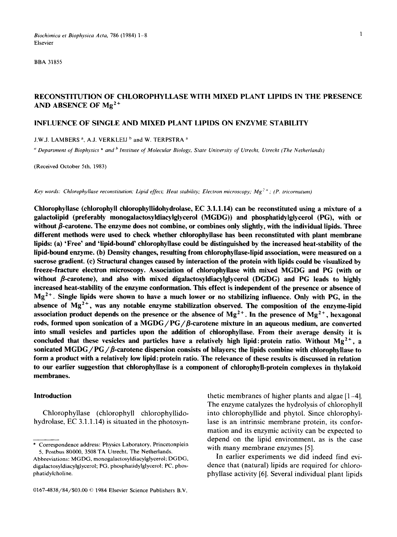*Biochimica et Biophysica Acta,* 786 (1984) 1-8 1 Elsevier

BBA 31855

# RECONSTITUTION OF CHLOROPHYLLASE WITH MIXED PLANT LIPIDS IN THE PRESENCE AND ABSENCE OF  $Mg^{2+}$

# INFLUENCE OF SINGLE AND MIXED PLANT LIPIDS ON ENZYME STABILITY

J.W,J. LAMBERS<sup>a</sup>, A.J. VERKLEIJ<sup>b</sup> and W. TERPSTRA<sup>a</sup>

*'~ Department of Biophysics \* and b Institute of Molecular Biology', State University of Utrecht, Utrecht (The Netherlands)* 

(Received October 5th, 1983)

*Key words: Chlorophyllase reconstitution; Lipid effect; Heat stability; Electron microscopy; Mg<sup>2+</sup>; (P. tricornutum)* 

Chlorophyllase (chlorophyll chiorophyllidohydrolase, EC 3.1.1.14) can be reconstituted using a mixture of a galactolipid (preferably monogalactosyldiacyiglycerol (MGDG)) and phosphatidylglycerol (PG), with or without  $\beta$ -carotene. The enzyme does not combine, or combines only slightly, with the individual lipids. Three different methods were used to check whether chlorophyllase has been reconstituted with plant membrane lipids: (a) 'Free' and 'lipid-bound' chlorophyllase could be distinguished by the increased heat-stability of the lipid-bound enzyme. (b) Density changes, resulting from chlorophyllase-lipid association, were measured on a sucrose gradient. (c) Structural changes caused by interaction of the protein with lipids could be visualized by freeze-fracture electron microscopy. Association of chlorophyllase with mixed MGDG and PG (with or without  $\beta$ -carotene), and also with mixed digalactosyldiacylglycerol (DGDG) and PG leads to highly increased heat-stability of the enzyme conformation. This effect is independent of the presence or absence of  $Mg<sup>2+</sup>$ . Single lipids were shown to have a much lower or no stabilizing influence. Only with PG, in the absence of  $Mg^{2+}$ , was any notable enzyme stabilization observed. The composition of the enzyme-lipid association product depends on the presence or the absence of  $Mg^{2+}$ . In the presence of  $Mg^{2+}$ , hexagonal rods, formed upon sonication of a MGDG/PG/ $\beta$ -carotene mixture in an aqueous medium, are converted into small vesicles and particles upon the addition of chlorophyllase. From their average density it is concluded that these vesicles and particles have a relatively high lipid: protein ratio. Without  $Mg^{2+}$ , a sonicated MGDG/PG/ $\beta$ -carotene dispersion consists of bilayers; the lipids combine with chlorophyllase to form a product with a relatively low lipid: protein ratio. The relevance of these results is discussed in relation to our earlier suggestion that chlorophyllase is a component of chlorophyll-protein complexes in thylakoid membranes.

#### **Introduction**

Chlorophyllase (chlorophyll chlorophyllidohydrolase, EC 3.1.1.14) is situated in the photosynthetic membranes of higher plants and algae [1-4]. The enzyme catalyzes the hydrolysis of chlorophyll into chlorophyllide and phytol. Since chlorophyllase is an intrinsic membrane protein, its conformation and its enzymic activity can be expected to depend on the lipid environment, as is the case with many membrane enzymes [5].

In earlier experiments we did indeed find evidence that (natural) lipids are required for chlorophyllase activity [6]. Several individual plant lipids

<sup>\*</sup> Correspondence address: Physics Laboratory, Princetonplein 5, Postbus 80000, 3508 TA Utrecht, The Netherlands.

Abbreviations: MGDG, monogalactosyldiacylglycerol; DGDG, digalactosyldiacylglycerol; PG, phosphatidylglycerol; PC, phosphatidylcholine.

<sup>0167-4838/84/\$03.00 © 1984</sup> Elsevier Science Publishers B.V.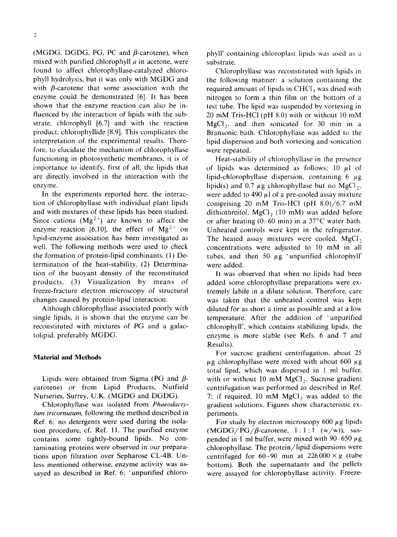(MGDG, DGDG, PG, PC and  $\beta$ -carotene), when mixed with purified chlorophyll  $a$  in acetone, were found to affect chlorophyllase-catalyzed chlorophyll hydrolysis, but it was only with MGDG and with  $\beta$ -carotene that some association with the enzyme could be demonstrated [6]. It has been shown that the enzyme reaction can also be influenced by the interaction of lipids with the substrate, chlorophyll [6,7] and with the reaction product, chlorophyllide [8,9]. This complicates the interpretation of the experimental results. Therefore, to elucidate the mechanism of chlorophyllase functioning in photosynthetic membranes, it is of importance to identify, first of all, the lipids that are directly involved in the interaction with the enzyme.

In the experiments reported here, the interaction of chlorophyllase with individual plant lipids and with mixtures of these lipids has been studied. Since cations  $(Mg^{2+})$  are known to affect the enzyme reaction [6,10], the effect of  $Mg^{2+}$  on lipid-enzyme association has been investigated as well. The following methods were used to check the formation of protein-lipid combinants. (1) Determination of the heat-stability. (2) Determination of the buoyant density of the reconstituted products. (3) Visualization by means of freeze-fracture electron microscopy of structural changes caused by protein-lipid interaction.

Although chlorophyllase associated poorly with single lipids, it is shown that the enzyme can be reconstituted with mixtures of PG and a galactolipid, preferably MGDG.

# **Material and Methods**

Lipids were obtained from Sigma (PG and  $\beta$ carotene) or from Lipid Products, Nutfield Nurseries, Surrey, U.K. (MGDG and DGDG).

Chlorophyllase was isolated from *Phaeodactylum tricornutum,* following the method described in Ref. 6; no detergents were used during the isolation procedure, cf. Ref. 1l. The purified enzyme contains some tightly-bound lipids. No contaminating proteins were observed in our preparations upon filtration over Sepharose CL-4B. Unless mentioned otherwise, enzyme activity was assayed as described in Ref. 6; 'unpurified chloro-

phyll' containing chloroplast lipids was used as a substrate.

Chlorophyllase was reconstituted with lipids in the following manner: a solution containing the required amount of lipids in  $CHCl<sub>3</sub>$  was dried with nitrogen to form a thin film on the bottom of a test tube. The lipid was suspended by vortexing in 20 mM Tris-HCI (pH 8.0) with or without 10 mM  $MgCl<sub>2</sub>$ , and then sonicated for 30 min in a Bransonic bath. Chlorophyllase was added to the lipid dispersion and both vortexing and sonication were repeated.

Heat-stability of chlorophyllase in the presence of lipids was determined as follows:  $10 \mu l$  of lipid-chlorophyllase dispersion, containing  $6 \mu$ g lipid(s) and 0.7  $\mu$ g chlorophyllase but no MgCl<sub>2</sub>, were added to 490  $\mu$ l of a pre-cooled assay mixture comprising 20 mM Tris-HC1 (pH 8.0)/6.7 mM dithiothreitol. MgCl<sub>2</sub> (10 mM) was added before or after heating  $(0-60 \text{ min})$  in a 37°C water bath. Unheated controls were kept in the refrigerator. The heated assay mixtures were cooled,  $MgCl<sub>2</sub>$ concentrations were adjusted to 10 mM in all tubes, and then 50  $\mu$ g 'unpurified chlorophyll' were added.

It was observed that when no lipids had been added some chlorophyllase preparations were extremely labile in a dilute solution. Therefore, care was taken that the unheated control was kept diluted for as short a time as possible and at a low temperature. After the addition of 'unpurified chlorophyll', which contains stabilizing lipids, the enzyme is more stable (see Refs. 6 and 7 and Results).

For sucrose gradient centrifugation, about 25  $\mu$ g chlorophyllase were mixed with about 600  $\mu$ g total lipid, which was dispersed in 1 ml buffer, with or without 10 mM  $MgCl<sub>2</sub>$ . Sucrose gradient centrifugation was performed as described in Ref. 7; if required,  $10 \text{ mM } MgCl$ , was added to the gradient solutions. Figures show characteristic experiments.

For study by electron microscopy  $600 \mu$ g lipids  $(MGDG/PG/\beta$ -carotene,  $1:1:1$  (w/w)), suspended in 1 ml buffer, were mixed with 90–650  $\mu$ g chlorophyllase. The protein/lipid dispersions were centrifuged for 60-90 min at  $226000 \times g$  (tube bottom). Both the supernatants and the pellets were assayed for chlorophyllase activity. Freeze-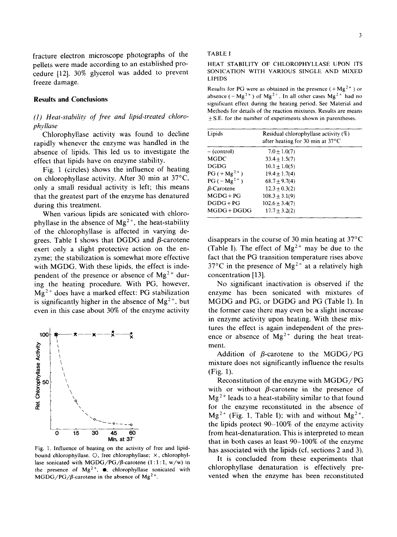3

fracture electron microscope photographs of the pellets were made according to an established procedure [12]. 30% glycerol was added to prevent freeze damage.

# **Results and Conclusions**

# *(1) Heat-stability of free and lipid-treated chlorophyllase*

Chlorophyllase activity was found to decline rapidly whenever the enzyme was handled in the absence of lipids. This led us to investigate the effect that lipids have on enzyme stability.

Fig. 1 (circles) shows the influence of heating on chlorophyllase activity. After 30 min at 37°C, only a small residual activity is left; this means that the greatest part of the enzyme has denatured during this treatment.

When various lipids are sonicated with chlorophyllase in the absence of  $Mg^{2+}$ , the heat-stability of the chlorophyllase is affected in varying degrees. Table I shows that DGDG and  $\beta$ -carotene exert only a slight protective action on the enzyme; the stabilization is somewhat more effective with MGDG. With these lipids, the effect is independent of the presence or absence of  $Mg^{2+}$  during the heating procedure. With PG, however,  $Mg<sup>2+</sup>$  does have a marked effect: PG stabilization is significantly higher in the absence of  $Mg^{2+}$ , but even in this case about 30% of the enzyme activity



Fig. 1. Influence of heating on the activity of free and lipidbound chlorophyllase. O, free chlorophyllase;  $\times$ , chlorophyllase sonicated with MGDG/PG/ $\beta$ -carotene (1:1:1, w/w) in the presence of  $Mg^{2+}$ ,  $\bullet$ , chlorophyllase sonicated with  $MGDG/PG/\beta$ -carotene in the absence of Mg<sup>2+</sup>.

#### TABLE I

#### HEAT STABILITY OF CHLOROPHYLLASE UPON ITS SON1CATION WITH VARIOUS SINGLE AND MIXED LIPIDS

Results for PG were as obtained in the presence  $(+\text{Mg}^{2+})$  or absence ( $-Mg^{2+}$ ) of  $Mg^{2+}$ . In all other cases  $Mg^{2+}$  had no significant effect during the heating period. See Material and Methods for details of the reaction mixtures. Results are means + S.E. for the number of experiments shown in parentheses.

| Lipids            | Residual chlorophyllase activity (%)<br>after heating for 30 min at $37^{\circ}$ C |  |
|-------------------|------------------------------------------------------------------------------------|--|
| $-$ (control)     | $7.0 \pm 1.0(7)$                                                                   |  |
| <b>MGDC</b>       | $33.4 + 1.5(7)$                                                                    |  |
| <b>DGDG</b>       | $10.1 \pm 1.0(5)$                                                                  |  |
| $PG (+ Mg^{2+})$  | $19.4 + 1.7(4)$                                                                    |  |
| $PG(-Mg^{2+})$    | $68.7 + 9.7(4)$                                                                    |  |
| $\beta$ -Carotene | $12.3 \pm 0.3(2)$                                                                  |  |
| $MGDG + PG$       | $108.3 \pm 3.1(9)$                                                                 |  |
| $DGDG + PG$       | $102.6 \pm 3.4(7)$                                                                 |  |
| MGDG + DGDG       | $17.7 + 3.2(2)$                                                                    |  |
|                   |                                                                                    |  |

disappears in the course of 30 min heating at  $37^{\circ}$ C (Table I). The effect of  $Mg^{2+}$  may be due to the fact that the PG transition temperature rises above 37°C in the presence of  $Mg^{2+}$  at a relatively high concentration [13].

No significant inactivation is observed if the enzyme has been sonicated with mixtures of MGDG and PG, or DGDG and PG (Table I). In the former case there may even be a slight increase in enzyme activity upon heating. With these mixtures the effect is again independent of the presence or absence of  $Mg^{2+}$  during the heat treatment.

Addition of  $\beta$ -carotene to the MGDG/PG mixture does not significantly influence the results (Fig. 1).

Reconstitution of the enzyme with MGDG/PG with or without  $\beta$ -carotene in the presence of  $Mg<sup>2+</sup>$  leads to a heat-stability similar to that found for the enzyme reconstituted in the absence of  $Mg^{2+}$  (Fig. 1, Table I); with and without  $Mg^{2+}$ , the lipids protect 90-100% of the enzyme activity from heat-denaturation. This is interpreted to mean that in both cases at least 90-100% of the enzyme has associated with the lipids (cf. sections 2 and 3).

It is concluded from these experiments that chlorophyllase denaturation is effectively prevented when the enzyme has been reconstituted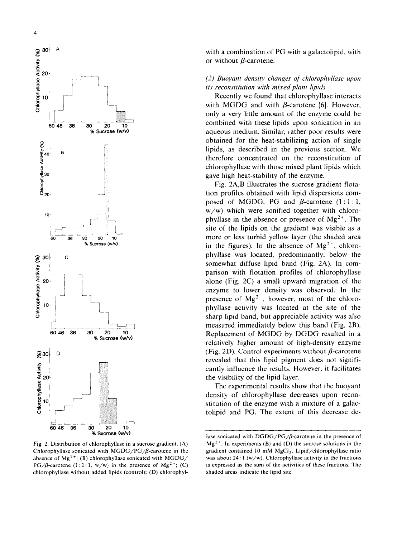

Fig. 2. Distribution of cblorophyllase in a sucrose gradient. (A) Chlorophyllase sonicated with  $MGDG/PG/β$ -carotene in the absence of Mg<sup>2+</sup>; (B) chlorophyllase sonicated with MGDG/ PG/ $\beta$ -carotene (1:1:1, w/w) in the presence of Mg<sup>2+</sup>; (C) chlorophyllase without added lipids (control); (D) chlorophyl-

with a combination of PG with a galactolipid, with or without  $\beta$ -carotene.

# *(2) Buoyant density changes of chlorophyllase upon its reconstitution with mixed plant lipids*

Recently we found that chlorophyllase interacts with MGDG and with  $\beta$ -carotene [6]. However, only a very little amount of the enzyme could be combined with these lipids upon sonication in an aqueous medium. Similar, rather poor results were obtained for the heat-stabilizing action of single lipids, as described in the previous section. We therefore concentrated on the reconstitution of chlorophyllase with those mixed plant lipids which gave high heat-stability of the enzyme.

Fig. 2A,B illustrates the sucrose gradient flotation profiles obtained with lipid dispersions composed of MGDG, PG and  $\beta$ -carotene (1:1:1, w/w) which were sonified together with chlorophyllase in the absence or presence of  $Mg^{2+}$ . The site of the lipids on the gradient was visible as a more or less turbid yellow layer (the shaded area in the figures). In the absence of  $Mg^{2+}$ , chlorophyllase was located, predominantly, below the somewhat diffuse lipid band (Fig. 2A). In comparison with flotation profiles of chlorophyllase alone (Fig. 2C) a small upward migration of the enzyme to lower density was observed. In the presence of  $Mg^{2+}$ , however, most of the chlorophyllase activity was located at the site of the sharp lipid band, but appreciable activity was also measured immediately below this band (Fig. 2B). Replacement of MGDG by DGDG resulted in a relatively higher amount of high-density enzyme (Fig. 2D). Control experiments without  $\beta$ -carotene revealed that this lipid pigment does not significantly influence the results. However, it facilitates the visibility of the lipid layer.

The experimental results show that the buoyant density of chlorophyllase decreases upon reconstitution of the enzyme with a mixture of a galactolipid and PG. The extent of this decrease de-

lase sonicated with *DGDG/PG/β-carotene* in the presence of  $Mg<sup>2+</sup>$ . In experiments (B) and (D) the sucrose solutions in the gradient contained 10 mM  $MgCl<sub>2</sub>$ . Lipid/chlorophyllase ratio was about 24:1 ( $w/w$ ). Chlorophyllase activity in the fractions is expressed as the sum of the activities of these fractions. The shaded areas indicate the lipid site.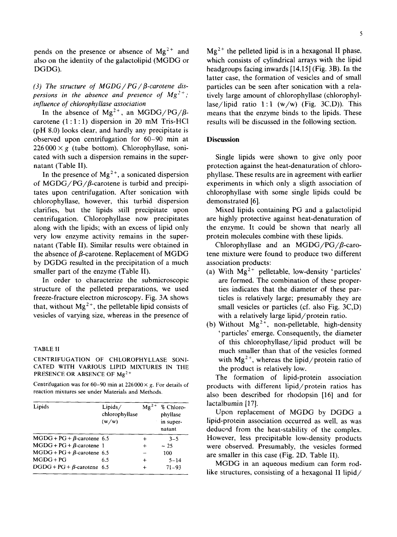pends on the presence or absence of  $Mg^{2+}$  and also on the identity of the galactolipid (MGDG or DGDG).

(3) The structure of MGDG / PG / *β*-carotene dis*persions in the absence and presence of*  $Mg^{2+}$ *; influence of chlorophyllase association* 

In the absence of  $Mg^{2+}$ , an  $MGDG/PG/B$ carotene  $(1:1:1)$  dispersion in 20 mM Tris-HCl (pH 8.0) looks clear, and hardly any precipitate is observed upon centrifugation for 60-90 min at  $226000 \times g$  (tube bottom). Chlorophyllase, sonicated with such a dispersion remains in the supernatant (Table II).

In the presence of  $Mg^{2+}$ , a sonicated dispersion of MGDG/PG/ $\beta$ -carotene is turbid and precipitates upon centrifugation. After sonication with chlorophyllase, however, this turbid dispersion clarifies, but the lipids still precipitate upon centrifugation. Chlorophyllase now precipitates along with the lipids; with an excess of lipid only very low enzyme activity remains in the supernatant (Table II). Similar results were obtained in the absence of  $\beta$ -carotene. Replacement of MGDG by DGDG resulted in the precipitation of a much smaller part of the enzyme (Table II).

In order to characterize the submicroscopic structure of the pelleted preparations, we used freeze-fracture electron microscopy. Fig. 3A shows that, without  $Mg^{2+}$ , the pelletable lipid consists of vesicles of varying size, whereas in the presence of

# TABLE 11

# CENTRIFUGATION OF CHLOROPHYLLASE SONI-CATED WITH VARIOUS LIPID MIXTURES IN THE PRESENCE OR ABSENCE OF Mg<sup>2+</sup>

Centrifugation was for 60-90 min at 226000  $\times$  g. For details of reaction mixtures see under Materials and Methods.

| Lipids                            | Lipids/<br>chlorophyllase<br>(w/w) | $Mg^{2+}$ | % Chloro-<br>phyllase<br>in super-<br>natant |
|-----------------------------------|------------------------------------|-----------|----------------------------------------------|
| $MGDG + PG + \beta$ -carotene 6.5 |                                    | $\div$    | $3 - 5$                                      |
| $MGDG + PG + \beta$ -carotene 1   |                                    | $\ddot{}$ | $-25$                                        |
| $MGDG + PG + \beta$ -carotene 6.5 |                                    | ⊸         | 100                                          |
| $MGDG + PG$                       | 6.5                                | $\ddot{}$ | $5 - 14$                                     |
| $DGDG + PG + \beta$ -carotene 6.5 |                                    |           | $71 - 93$                                    |

 $Mg<sup>2+</sup>$  the pelleted lipid is in a hexagonal II phase, which consists of cylindrical arrays with the lipid headgroups facing inwards [14,15] (Fig. 3B). In the latter case, the formation of vesicles and of small particles can be seen after sonication with a relatively large amount of chlorophyllase (chlorophyllase/lipid ratio  $1:1$  (w/w) (Fig. 3C,D)). This means that the enzyme binds to the lipids. These results will be discussed in the following section.

## **Discussion**

Single lipids were shown to give only poor protection against the heat-denaturation of chlorophyllase. These results are in agreement with earlier experiments in which only a sligth association of chlorophyllase with some single lipids could be demonstrated [6].

Mixed lipids containing PG and a galactolipid are highly protective against heat-denaturation of the enzyme. It could be shown that nearly all protein molecules combine with these lipids.

Chlorophyllase and an MGDG/PG/ $\beta$ -carotene mixture were found to produce two different association products:

- (a) With  $Mg^{2+}$  pelletable, low-density 'particles' are formed. The combination of these properties indicates that the diameter of these particles is relatively large; presumably they are small vesicles or particles (cf. also Fig. 3C,D) with a relatively large lipid/protein ratio.
- (b) Without  $Mg^{2+}$ , non-pelletable, high-density 'particles' emerge. Consequently, the diameter of this chlorophyllase/lipid product will be much smaller than that of the vesicles formed with  $Mg^{2+}$ , whereas the lipid/protein ratio of the product is relatively low.

The formation of lipid-protein association products with different lipid/protein ratios has also been described for rhodopsin [16] and for lactalbumin [17].

Upon replacement of MGDG by DGDG a lipid-protein association occurred as well, as was deduced from the heat-stability of the complex. However, less precipitable low-density products were observed. Presumably, the vesicles formed are smaller in this case (Fig. 2D, Table II).

MGDG in an aqueous medium can form rodlike structures, consisting of a hexagonal II lipid/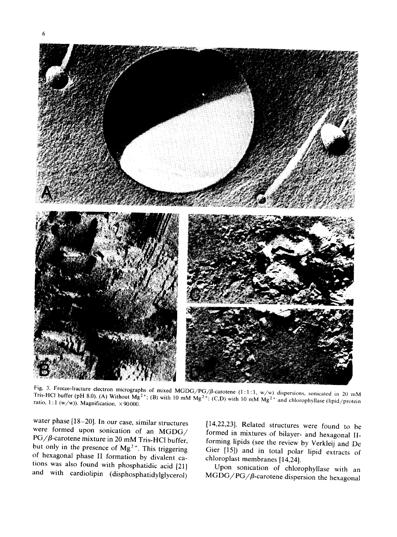

Fig. 3. Freeze-fracture electron micrographs of mixed MGDG/PG/ $\beta$ -carotene (1:1:1, w/w) dispersions, sonicated in 20 mM Tris-HCl buffer (pH 8.0). (A) Without  $Mg^{2+}$ ; (B) with 10 mM  $Mg^{2+}$ ; (C,D) with 10 mM  $Mg^{2+}$  and chlorophyllase (lipid/protein ratio, 1:1 (w/w)). Magnification,  $\times$  90000.

water phase [18-20]. In our case, similar structures were formed upon sonication of an MGDG/ PG/ $\beta$ -carotene mixture in 20 mM Tris-HCl buffer, but only in the presence of  $Mg^{2+}$ . This triggering of hexagonal phase II formation by divalent cations was also found with phosphatidic acid [21] and with cardiolipin (disphosphatidylglycerol)

[14,22,23]. Related structures were found to be formed in mixtures of bilayer- and hexagonal IIforming lipids (see the review by Verkleij and De Gier [15]) and in total polar lipid extracts of chloroplast membranes [14,24].

Upon sonication of chlorophyllase with an  $MGDG/PG/\beta$ -carotene dispersion the hexagonal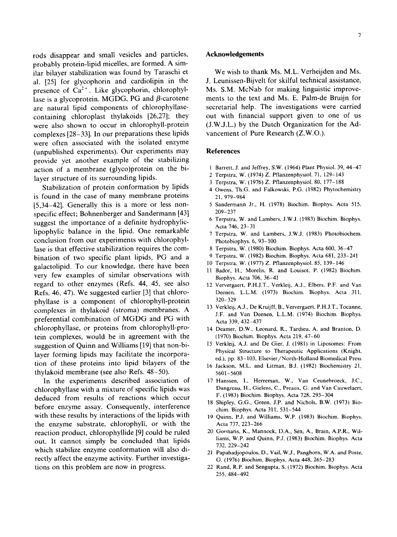rods disappear and small vesicles and particles, probably protein-lipid micelles, are formed. A similar bilayer stabilization was found by Taraschi et al. [25] for glycophorin and cardiolipin in the presence of  $Ca^{2+}$ . Like glycophorin, chlorophyllase is a glycoprotein. MGDG, PG and  $\beta$ -carotene are natural lipid components of chlorophyllasecontaining chloroplast thylakoids [26,27]; they were also shown to occur in chlorophyll-protein complexes [28-33}. In our preparations these lipids were often associated with the isolated enzyme (unpublished experiments). Our experiments may provide yet another example of the stabilizing action of a membrane (glyco)protein on the bilayer structure of its surrounding lipids.

Stabilization of protein conformation by lipids is found in the case of many membrane proteins [5,34-42]. Generally this is a more or less nonspecific effect; Bohnenberger and Sandermann [43] suggest the importance of a definite hydrophyliclipophylic balance in the lipid. One remarkable conclusion from our experiments with chlorophyllase is that effective stabilization requires the combination of two specific plant lipids, PG and a galactolipid. To our knowledge, there have been very few examples of similar observations with regard to other enzymes (Refs. 44, 45, see also Refs. 46, 47). We suggested earlier [3] that chlorophyllase is a component of chlorophyll-protein complexes in thylakoid (stroma) membranes. A preferential combination of MGDG and PG with chlorophyllase, or proteins from chlorophyll-protein complexes, would be in agreement with the suggestion of Quinn and Williams [19] that non-bilayer forming lipids may facilitate the incorporation of these proteins into lipid bilayers of the thylakoid membrane (see also Refs. 48-50).

In the experiments described association of chlorophyllase with a mixture of specific lipids was deduced from results of reactions which occur before enzyme assay. Consequently, interference with these results by interactions of the lipids with the enzyme substrate, chlorophyll, or with the reaction product, chlorophyllide [9] could be ruled out. It cannot simply be concluded that lipids which stabilize enzyme conformation will also directly affect the enzyme activity. Further investigations on this problem are now in progress.

## **Acknowledgements**

We wish to thank Ms. M.L. Verheijden and Ms. J. Leunissen-Bijvelt for skilful technical assistance, Ms. S.M. McNab for making linguistic improvements to the text and Ms. E, Palm-de Bruijn for secretarial help. The investigations were carried out with financial support given to one of us (J.W.J.L.) by the Dutch Organization for the Advancement of Pure Research (Z,W.O.),

## **References**

- 1 Barrett, J. and Jeffrey, S.W, (1964) Plant Physiol. 39, 44-47
- 2 Terpstra, W. (1974) Z. Pflanzenphysiol. 7l, 129-143
- 3 Terpstra, W. (1976) Z. Pflanzenphysiol. 80, 177-188
- 4 Owens, Th,G. and Falkowski, P.G. (1982) Phytochemistry 21,979-984
- 5 Sandermann Jr,, H. (1978) Biochim, Biophys. Acta 515, 209-237
- 6 Terpstra, W. and Lambers, J.W.J. (1983) Biochim. Biophys. Acta 746, 23-31
- 7 Terpstra, W, and Lambers, J.W.J. (1983) Photobiochem. Photobiophys. 6, 93-100
- 8 Terpstra, W. (1980) Biochim. Biophys. Acta 600, 36-47
- 9 Terpstra, W. (1982) Biochim. Biophys. Acta 681,233-241
- 10 Terpstra, W. (1977) Z. Pflanzenphysiol. 85, 139-146
- 11 Bador, H., Morelis, R. and Louisot, P. (1982) Biochim. Biophys. Acta 706, 36-41
- 12 Ververgaert, P.H.J.T., Verkleij, A.J., Elbers, P.F. and Van Deenen, L.L.M. (1973) Biochim. Biophys. Acta 311, 320-329
- 13 Verkleij, A.J., De Kruijff, B., Ververgaert, P.H.J.T., Tocanne, J.F. and Van Deenen, L.L.M. (1974) Biochim. Biophys. Acta 339, 432-437
- 14 Deamer, D.W., Leonard, R., Tardieu, A. and Branton, D. (1970) Biochim. Biophys. Acta 219, 47-60
- 15 Verkleij, A.J. and De Gier, J. (1981) in Liposomes: From Physical Structure to Therapeutic Applications (Knight, ed.), pp. 83-103, Elsevier/North-Holland Biomedical Press
- 16 Jackson, M.L. and Litman, B.J. (1982) Biochemistry 21, 5601-5608
- 17 Hanssen, I., Herreman, W,, Van Ceunebroeck, J.C., Dangreau, H., Gielens, C., Preaux, G. and Van Cauwelaert, F. (1983) Biochim. Biophys. Acta 728, 293-304
- 18 Shipley, G,G., Green, J,P. and Nichols, B.W. (1973) Biochim. Biophys. Acta 311, 531-544
- 19 Quinn, P.J. and Williams, W.P. (1983) Biochim. Biophys. Acta 737, 223-266
- 20 Gounaris, K., Mannock, D.A., Sen, A., Brain, A.P.R., Williams, W.P. and Quinn, P.J. (1983) Biochim. Biophys. Acta 732, 229-242
- 21 Papahadjopoulos, D., Vail, W,J., Pangborn, W.A. and Poste, G. (1976) Biochim. Biophys. Acta 448, 265-283
- 22 Rand, R.P. and Sengupta, S. (1972) Biochim. Biophys. Acta 255, 484-492